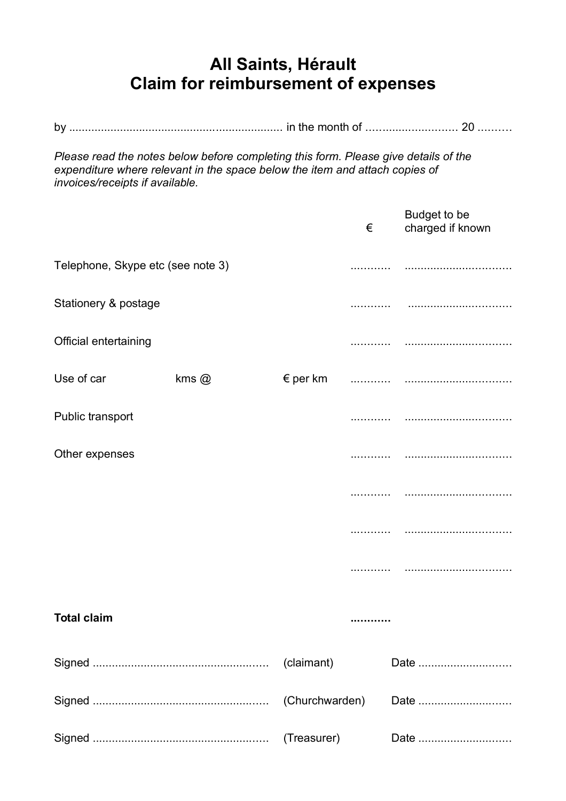## **All Saints, Hérault Claim for reimbursement of expenses**

*Please read the notes below before completing this form. Please give details of the expenditure where relevant in the space below the item and attach copies of invoices/receipts if available.*

|                                   |           |             | € | Budget to be<br>charged if known |
|-----------------------------------|-----------|-------------|---|----------------------------------|
| Telephone, Skype etc (see note 3) |           |             |   |                                  |
| Stationery & postage              |           |             |   |                                  |
| Official entertaining             |           |             |   |                                  |
| Use of car                        | $kms$ $@$ |             |   |                                  |
| Public transport                  |           |             |   |                                  |
| Other expenses                    |           |             |   |                                  |
|                                   |           |             |   |                                  |
|                                   |           |             |   |                                  |
|                                   |           |             |   |                                  |
| <b>Total claim</b>                |           |             |   |                                  |
|                                   |           | (claimant)  |   | Date                             |
|                                   |           |             |   | Date                             |
|                                   |           | (Treasurer) |   | Date                             |
|                                   |           |             |   |                                  |